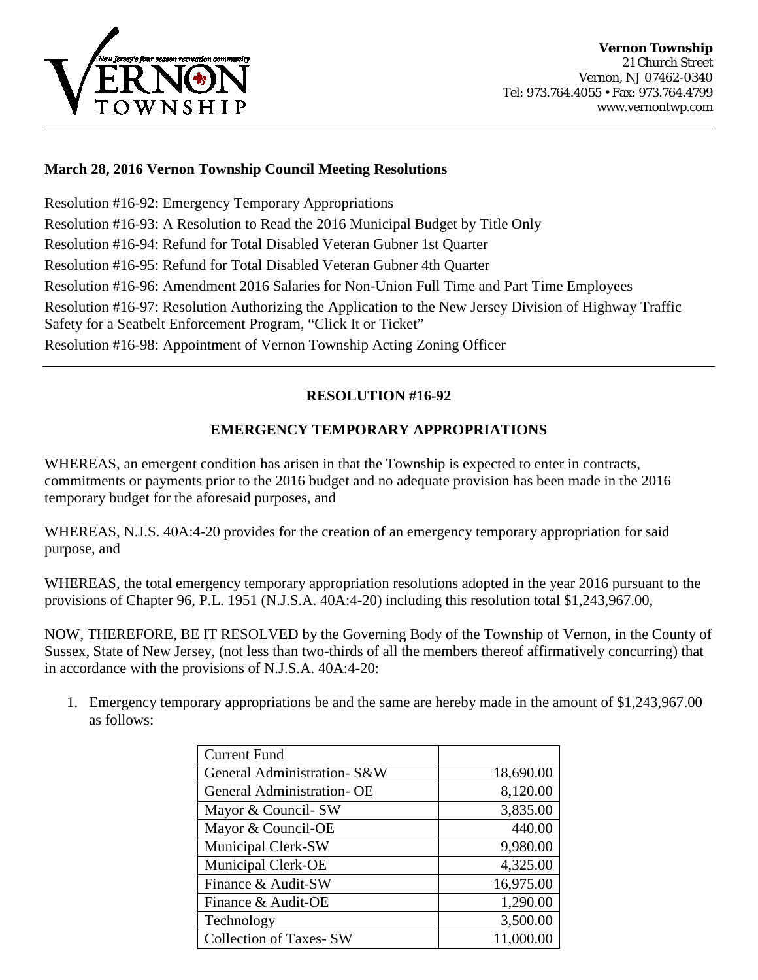

## **March 28, 2016 Vernon Township Council Meeting Resolutions**

Resolution #16-92: Emergency Temporary Appropriations Resolution #16-93: A Resolution to Read the 2016 Municipal Budget by Title Only Resolution #16-94: Refund for Total Disabled Veteran Gubner 1st Quarter Resolution #16-95: Refund for Total Disabled Veteran Gubner 4th Quarter Resolution #16-96: Amendment 2016 Salaries for Non-Union Full Time and Part Time Employees Resolution #16-97: Resolution Authorizing the Application to the New Jersey Division of Highway Traffic Safety for a Seatbelt Enforcement Program, "Click It or Ticket" Resolution #16-98: Appointment of Vernon Township Acting Zoning Officer

# **RESOLUTION #16-92**

# **EMERGENCY TEMPORARY APPROPRIATIONS**

WHEREAS, an emergent condition has arisen in that the Township is expected to enter in contracts, commitments or payments prior to the 2016 budget and no adequate provision has been made in the 2016 temporary budget for the aforesaid purposes, and

WHEREAS, N.J.S.  $40A:4-20$  provides for the creation of an emergency temporary appropriation for said purpose, and

WHEREAS, the total emergency temporary appropriation resolutions adopted in the year 2016 pursuant to the provisions of Chapter 96, P.L. 1951 (N.J.S.A. 40A:4-20) including this resolution total \$1,243,967.00,

NOW, THEREFORE, BE IT RESOLVED by the Governing Body of the Township of Vernon, in the County of Sussex, State of New Jersey, (not less than two-thirds of all the members thereof affirmatively concurring) that in accordance with the provisions of N.J.S.A. 40A:4-20:

1. Emergency temporary appropriations be and the same are hereby made in the amount of \$1,243,967.00 as follows:

| <b>Current Fund</b>            |           |
|--------------------------------|-----------|
| General Administration- S&W    | 18,690.00 |
| General Administration- OE     | 8,120.00  |
| Mayor & Council- SW            | 3,835.00  |
| Mayor & Council-OE             | 440.00    |
| <b>Municipal Clerk-SW</b>      | 9,980.00  |
| <b>Municipal Clerk-OE</b>      | 4,325.00  |
| Finance & Audit-SW             | 16,975.00 |
| Finance & Audit-OE             | 1,290.00  |
| Technology                     | 3,500.00  |
| <b>Collection of Taxes- SW</b> | 11,000.00 |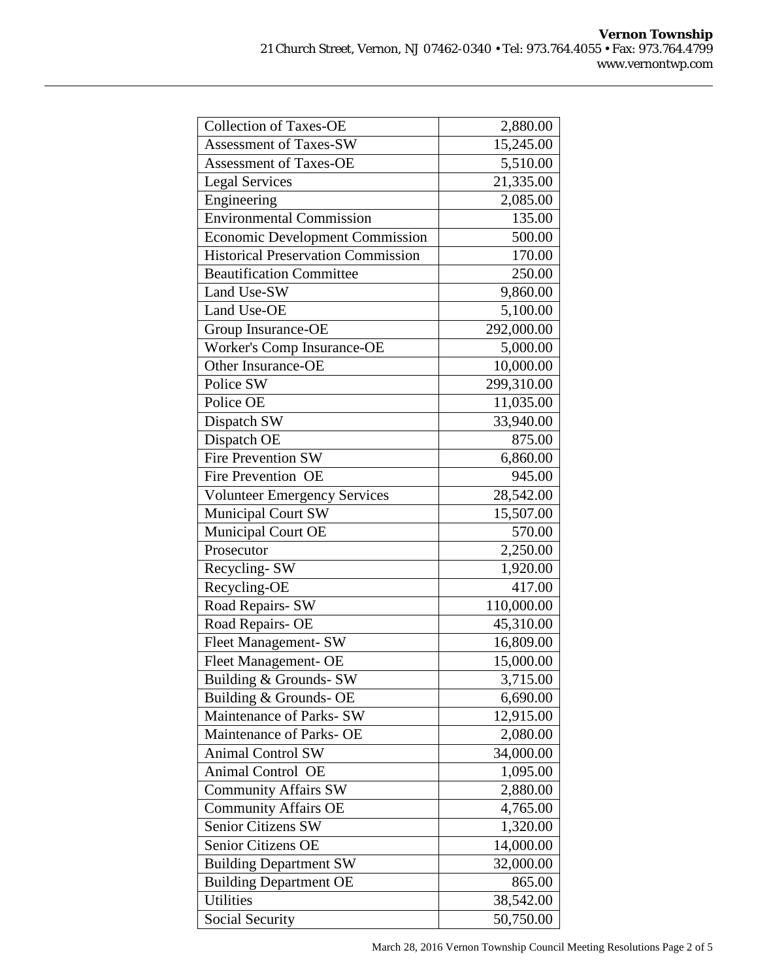| <b>Collection of Taxes-OE</b>             | 2,880.00   |
|-------------------------------------------|------------|
| <b>Assessment of Taxes-SW</b>             | 15,245.00  |
| <b>Assessment of Taxes-OE</b>             | 5,510.00   |
| <b>Legal Services</b>                     | 21,335.00  |
| Engineering                               | 2,085.00   |
| <b>Environmental Commission</b>           | 135.00     |
| <b>Economic Development Commission</b>    | 500.00     |
| <b>Historical Preservation Commission</b> | 170.00     |
| <b>Beautification Committee</b>           | 250.00     |
| Land Use-SW                               | 9,860.00   |
| Land Use-OE                               | 5,100.00   |
| Group Insurance-OE                        | 292,000.00 |
| Worker's Comp Insurance-OE                | 5,000.00   |
| Other Insurance-OE                        | 10,000.00  |
| Police SW                                 | 299,310.00 |
| Police OE                                 | 11,035.00  |
| Dispatch SW                               | 33,940.00  |
| Dispatch OE                               | 875.00     |
| <b>Fire Prevention SW</b>                 | 6,860.00   |
| Fire Prevention OE                        | 945.00     |
| <b>Volunteer Emergency Services</b>       | 28,542.00  |
| <b>Municipal Court SW</b>                 | 15,507.00  |
| Municipal Court OE                        | 570.00     |
| Prosecutor                                | 2,250.00   |
| Recycling-SW                              | 1,920.00   |
| Recycling-OE                              | 417.00     |
| Road Repairs- SW                          | 110,000.00 |
| Road Repairs- OE                          | 45,310.00  |
| Fleet Management- SW                      | 16,809.00  |
| Fleet Management- OE                      | 15,000.00  |
| Building & Grounds- SW                    | 3,715.00   |
| Building & Grounds- OE                    | 6,690.00   |
| Maintenance of Parks- SW                  | 12,915.00  |
| Maintenance of Parks- OE                  | 2,080.00   |
| <b>Animal Control SW</b>                  | 34,000.00  |
| Animal Control OE                         | 1,095.00   |
| <b>Community Affairs SW</b>               | 2,880.00   |
| <b>Community Affairs OE</b>               | 4,765.00   |
| Senior Citizens SW                        | 1,320.00   |
| Senior Citizens OE                        | 14,000.00  |
| <b>Building Department SW</b>             | 32,000.00  |
| <b>Building Department OE</b>             | 865.00     |
| <b>Utilities</b>                          | 38,542.00  |
| <b>Social Security</b>                    | 50,750.00  |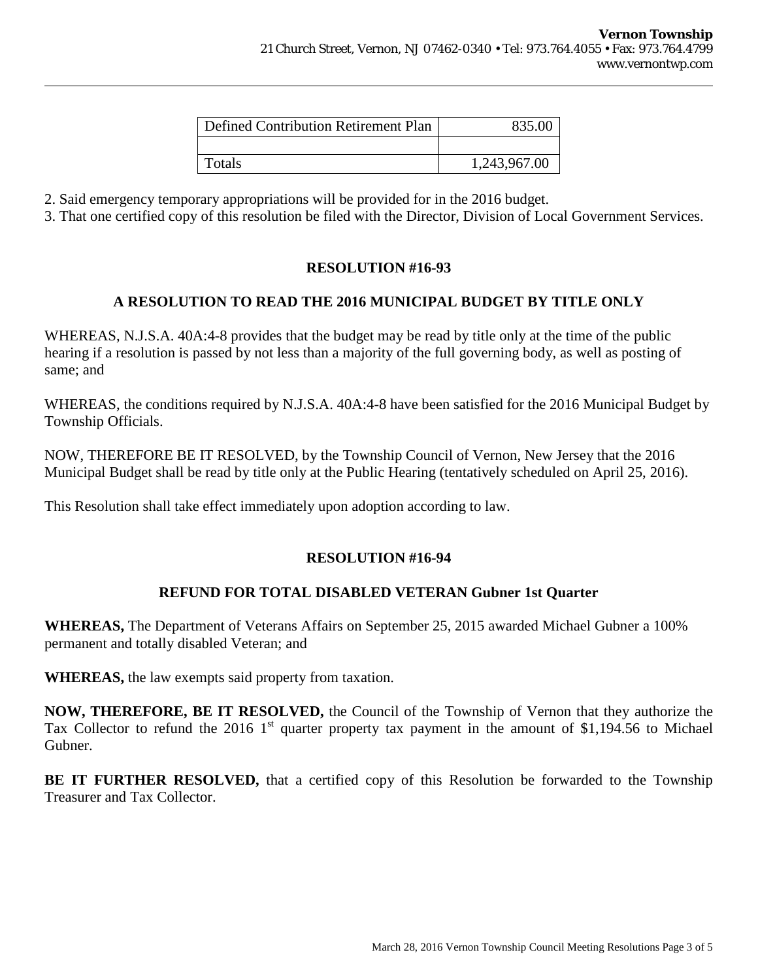| Defined Contribution Retirement Plan | 835.00       |
|--------------------------------------|--------------|
|                                      |              |
| Totals                               | 1,243,967.00 |

2. Said emergency temporary appropriations will be provided for in the 2016 budget.

3. That one certified copy of this resolution be filed with the Director, Division of Local Government Services.

### **RESOLUTION #16-93**

### **A RESOLUTION TO READ THE 2016 MUNICIPAL BUDGET BY TITLE ONLY**

WHEREAS, N.J.S.A. 40A:4-8 provides that the budget may be read by title only at the time of the public hearing if a resolution is passed by not less than a majority of the full governing body, as well as posting of same; and

WHEREAS, the conditions required by N.J.S.A. 40A:4-8 have been satisfied for the 2016 Municipal Budget by Township Officials.

NOW, THEREFORE BE IT RESOLVED, by the Township Council of Vernon, New Jersey that the 2016 Municipal Budget shall be read by title only at the Public Hearing (tentatively scheduled on April 25, 2016).

This Resolution shall take effect immediately upon adoption according to law.

#### **RESOLUTION #16-94**

### **REFUND FOR TOTAL DISABLED VETERAN Gubner 1st Quarter**

**WHEREAS,** The Department of Veterans Affairs on September 25, 2015 awarded Michael Gubner a 100% permanent and totally disabled Veteran; and

**WHEREAS,** the law exempts said property from taxation.

**NOW, THEREFORE, BE IT RESOLVED,** the Council of the Township of Vernon that they authorize the Tax Collector to refund the 2016 1<sup>st</sup> quarter property tax payment in the amount of \$1,194.56 to Michael Gubner.

**BE IT FURTHER RESOLVED,** that a certified copy of this Resolution be forwarded to the Township Treasurer and Tax Collector.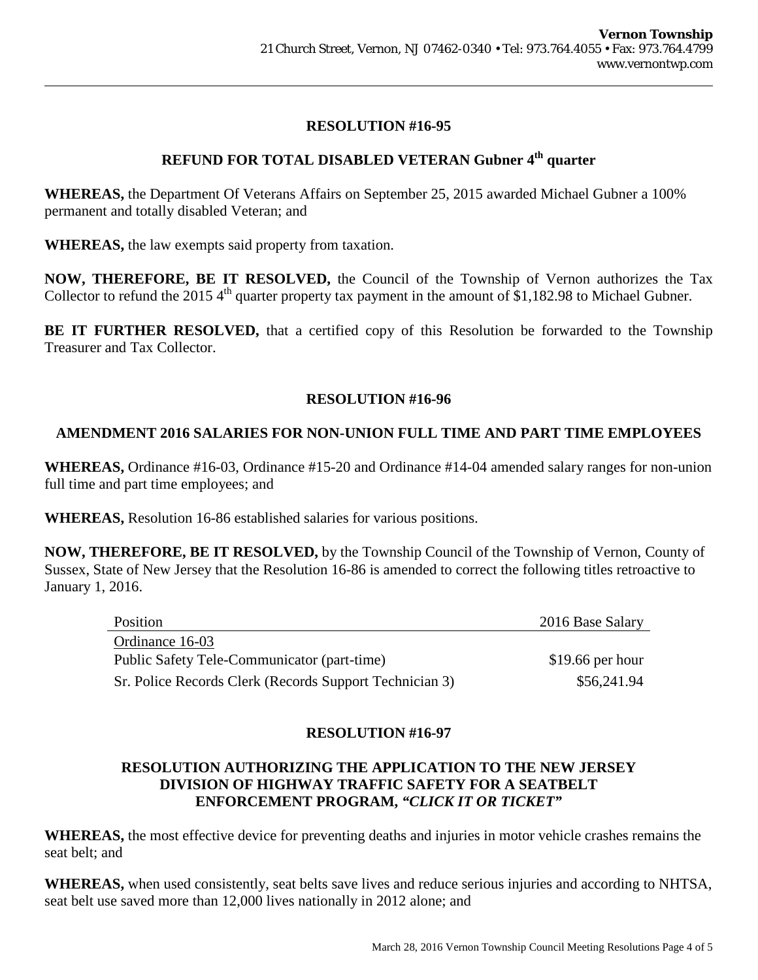# **RESOLUTION #16-95**

# **REFUND FOR TOTAL DISABLED VETERAN Gubner 4th quarter**

**WHEREAS,** the Department Of Veterans Affairs on September 25, 2015 awarded Michael Gubner a 100% permanent and totally disabled Veteran; and

**WHEREAS,** the law exempts said property from taxation.

**NOW, THEREFORE, BE IT RESOLVED,** the Council of the Township of Vernon authorizes the Tax Collector to refund the 2015  $4<sup>th</sup>$  quarter property tax payment in the amount of \$1,182.98 to Michael Gubner.

**BE IT FURTHER RESOLVED,** that a certified copy of this Resolution be forwarded to the Township Treasurer and Tax Collector.

### **RESOLUTION #16-96**

### **AMENDMENT 2016 SALARIES FOR NON-UNION FULL TIME AND PART TIME EMPLOYEES**

**WHEREAS,** Ordinance #16-03, Ordinance #15-20 and Ordinance #14-04 amended salary ranges for non-union full time and part time employees; and

**WHEREAS,** Resolution 16-86 established salaries for various positions.

**NOW, THEREFORE, BE IT RESOLVED,** by the Township Council of the Township of Vernon, County of Sussex, State of New Jersey that the Resolution 16-86 is amended to correct the following titles retroactive to January 1, 2016.

| Position                                                | 2016 Base Salary  |
|---------------------------------------------------------|-------------------|
| Ordinance 16-03                                         |                   |
| Public Safety Tele-Communicator (part-time)             | $$19.66$ per hour |
| Sr. Police Records Clerk (Records Support Technician 3) | \$56,241.94       |

### **RESOLUTION #16-97**

# **RESOLUTION AUTHORIZING THE APPLICATION TO THE NEW JERSEY DIVISION OF HIGHWAY TRAFFIC SAFETY FOR A SEATBELT ENFORCEMENT PROGRAM,** *"CLICK IT OR TICKET"*

**WHEREAS,** the most effective device for preventing deaths and injuries in motor vehicle crashes remains the seat belt; and

**WHEREAS,** when used consistently, seat belts save lives and reduce serious injuries and according to NHTSA, seat belt use saved more than 12,000 lives nationally in 2012 alone; and